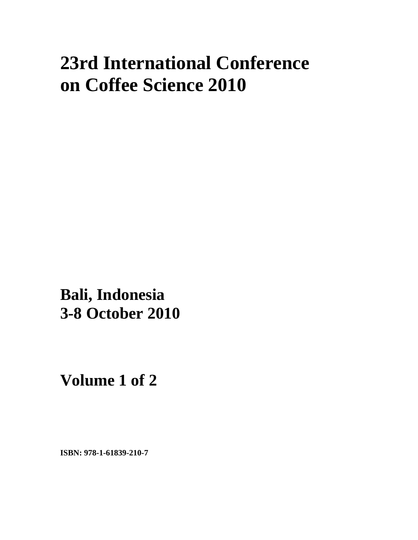# **23rd International Conference on Coffee Science 2010**

**xxx Bali, Indonesia 3-8 October 2010** 

**Volume 1 of 2** 

**ISBN: 978-1-61839-210-7**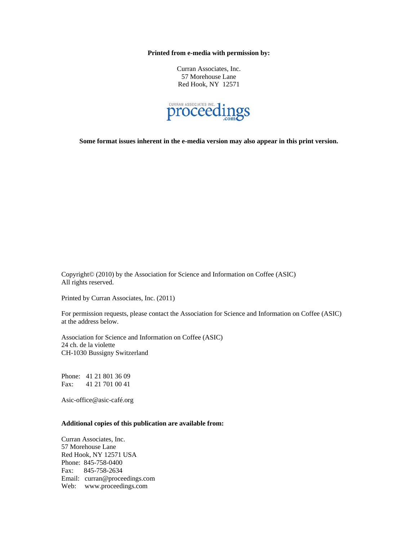**Printed from e-media with permission by:** 

Curran Associates, Inc. 57 Morehouse Lane Red Hook, NY 12571



**Some format issues inherent in the e-media version may also appear in this print version.** 

Copyright© (2010) by the Association for Science and Information on Coffee (ASIC) All rights reserved.

Printed by Curran Associates, Inc. (2011)

For permission requests, please contact the Association for Science and Information on Coffee (ASIC) at the address below.

Association for Science and Information on Coffee (ASIC) 24 ch. de la violette CH-1030 Bussigny Switzerland

Phone: 41 21 801 36 09 Fax: 41 21 701 00 41

Asic-office@asic-café.org

## **Additional copies of this publication are available from:**

Curran Associates, Inc. 57 Morehouse Lane Red Hook, NY 12571 USA Phone: 845-758-0400 Fax: 845-758-2634 Email: curran@proceedings.com Web: www.proceedings.com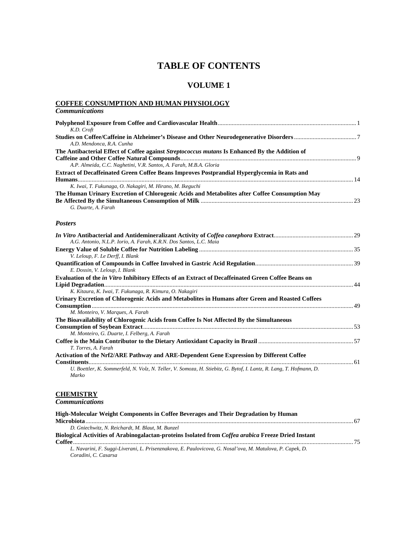## **TABLE OF CONTENTS**

## **VOLUME 1**

## **COFFEE CONSUMPTION AND HUMAN PHYSIOLOGY**

| <b>Communications</b>                                                                                                                                             |  |
|-------------------------------------------------------------------------------------------------------------------------------------------------------------------|--|
| K.D. Croft                                                                                                                                                        |  |
| A.D. Mendonca, R.A. Cunha                                                                                                                                         |  |
| The Antibacterial Effect of Coffee against Streptococcus mutans Is Enhanced By the Addition of                                                                    |  |
| A.P. Almeida, C.C. Naghetini, V.R. Santos, A. Farah, M.B.A. Gloria<br>Extract of Decaffeinated Green Coffee Beans Improves Postprandial Hyperglycemia in Rats and |  |
| K. Iwai, T. Fukunaga, O. Nakagiri, M. Hirano, M. Ikeguchi                                                                                                         |  |
| The Human Urinary Excretion of Chlorogenic Acids and Metabolites after Coffee Consumption May<br>G. Duarte, A. Farah                                              |  |
| <b>Posters</b>                                                                                                                                                    |  |
| A.G. Antonio, N.L.P. Iorio, A. Farah, K.R.N. Dos Santos, L.C. Maia                                                                                                |  |
| V. Leloup, F. Le Derff, I. Blank                                                                                                                                  |  |
| E. Dossin, V. Leloup, I. Blank                                                                                                                                    |  |
| Evaluation of the in Vitro Inhibitory Effects of an Extract of Decaffeinated Green Coffee Beans on                                                                |  |
| K. Kitaura, K. Iwai, T. Fukunaga, R. Kimura, O. Nakagiri                                                                                                          |  |
| Urinary Excretion of Chlorogenic Acids and Metabolites in Humans after Green and Roasted Coffees<br>M. Monteiro, V. Marques, A. Farah                             |  |
| The Bioavailability of Chlorogenic Acids from Coffee Is Not Affected By the Simultaneous                                                                          |  |
| M. Monteiro, G. Duarte, I. Felberg, A. Farah                                                                                                                      |  |
| T. Torres, A. Farah                                                                                                                                               |  |
| Activation of the Nrf2/ARE Pathway and ARE-Dependent Gene Expression by Different Coffee                                                                          |  |
| U. Boettler, K. Sommerfeld, N. Volz, N. Teller, V. Somoza, H. Stiebitz, G. Bytof, I. Lantz, R. Lang, T. Hofmann, D.<br>Marko                                      |  |

## **CHEMISTRY**

*Communications* 

| High-Molecular Weight Components in Coffee Beverages and Their Degradation by Human                       |  |
|-----------------------------------------------------------------------------------------------------------|--|
|                                                                                                           |  |
| D. Gniechwitz, N. Reichardt, M. Blaut, M. Bunzel                                                          |  |
| Biological Activities of Arabinogalactan-proteins Isolated from Coffea arabica Freeze Dried Instant       |  |
|                                                                                                           |  |
| L. Navarini, F. Suggi-Liverani, L. Prisenznakova, E. Paulovicova, G. Nosal'ova, M. Matulova, P. Capek, D. |  |
| Coradini, C. Casarsa                                                                                      |  |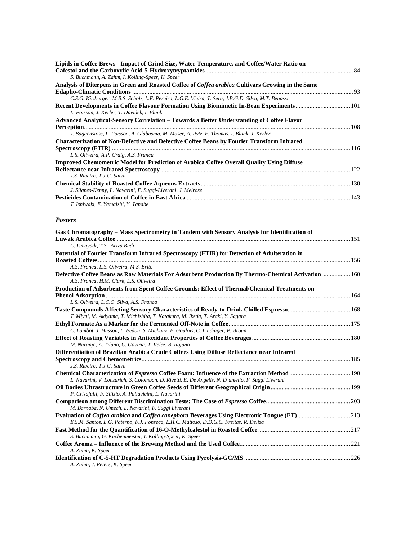| Lipids in Coffee Brews - Impact of Grind Size, Water Temperature, and Coffee/Water Ratio on          |  |
|------------------------------------------------------------------------------------------------------|--|
|                                                                                                      |  |
| S. Buchmann, A. Zahm, I. Kolling-Speer, K. Speer                                                     |  |
| Analysis of Diterpens in Green and Roasted Coffee of Coffea arabica Cultivars Growing in the Same    |  |
|                                                                                                      |  |
| C.S.G. Kitzberger, M.B.S. Scholz, L.F. Pereira, L.G.E. Vieira, T. Sera, J.B.G.D. Silva, M.T. Benassi |  |
|                                                                                                      |  |
| L. Poisson, J. Kerler, T. Davidek, I. Blank                                                          |  |
| Advanced Analytical-Sensory Correlation – Towards a Better Understanding of Coffee Flavor            |  |
|                                                                                                      |  |
| J. Baggenstoss, L. Poisson, A. Glabasnia, M. Moser, A. Rytz, E. Thomas, I. Blank, J. Kerler          |  |
| <b>Characterization of Non-Defective and Defective Coffee Beans by Fourier Transform Infrared</b>    |  |
|                                                                                                      |  |
| L.S. Oliveira, A.P. Craig, A.S. Franca                                                               |  |
| <b>Improved Chemometric Model for Prediction of Arabica Coffee Overall Ouality Using Diffuse</b>     |  |
|                                                                                                      |  |
| J.S. Ribeiro, T.J.G. Salva                                                                           |  |
|                                                                                                      |  |
| J. Silanes-Kenny, L. Navarini, F. Suggi-Liverani, J. Melrose                                         |  |
|                                                                                                      |  |
| T. Ishiwaki, E. Yamaishi, Y. Tanabe                                                                  |  |

#### *Posters*

| Gas Chromatography – Mass Spectrometry in Tandem with Sensory Analysis for Identification of                                                  |  |
|-----------------------------------------------------------------------------------------------------------------------------------------------|--|
|                                                                                                                                               |  |
| C. Ismayadi, T.S. Ariza Budi                                                                                                                  |  |
| Potential of Fourier Transform Infrared Spectroscopy (FTIR) for Detection of Adulteration in                                                  |  |
|                                                                                                                                               |  |
| A.S. Franca, L.S. Oliveira, M.S. Brito                                                                                                        |  |
| Defective Coffee Beans as Raw Materials For Adsorbent Production By Thermo-Chemical Activation  160<br>A.S. Franca, H.M. Clark, L.S. Oliveira |  |
| Production of Adsorbents from Spent Coffee Grounds: Effect of Thermal/Chemical Treatments on                                                  |  |
|                                                                                                                                               |  |
| L.S. Oliveira, L.C.O. Silva, A.S. Franca                                                                                                      |  |
|                                                                                                                                               |  |
| T. Miyai, M. Akiyama, T. Michishita, T. Katakura, M. Ikeda, T. Araki, Y. Sagara                                                               |  |
|                                                                                                                                               |  |
| C. Lambot, J. Husson, L. Bedon, S. Michaux, E. Goulois, C. Lindinger, P. Broun                                                                |  |
|                                                                                                                                               |  |
| M. Naranjo, A. Tilano, C. Gaviria, T. Velez, B. Rojano                                                                                        |  |
| Differentiation of Brazilian Arabica Crude Coffees Using Diffuse Reflectance near Infrared                                                    |  |
|                                                                                                                                               |  |
| J.S. Ribeiro, T.J.G. Salva                                                                                                                    |  |
| <b>Chemical Characterization of Espresso Coffee Foam: Influence of the Extraction Method  190</b>                                             |  |
| L. Navarini, V. Lonzarich, S. Colomban, D. Rivetti, E. De Angelis, N. D'amelio, F. Suggi Liverani                                             |  |
|                                                                                                                                               |  |
| P. Crisafulli, F. Silizio, A. Pallavicini, L. Navarini                                                                                        |  |
|                                                                                                                                               |  |
| M. Barnaba, N. Umech, L. Navarini, F. Suggi Liverani                                                                                          |  |
|                                                                                                                                               |  |
| E.S.M. Santos, L.G. Paterno, F.J. Fonseca, L.H.C. Mattoso, D.D.G.C. Freitas, R. Deliza                                                        |  |
|                                                                                                                                               |  |
| S. Buchmann, G. Kuchenmeister, I. Kolling-Speer, K. Speer                                                                                     |  |
|                                                                                                                                               |  |
| A. Zahm, K. Speer                                                                                                                             |  |
|                                                                                                                                               |  |
| A. Zahm, J. Peters, K. Speer                                                                                                                  |  |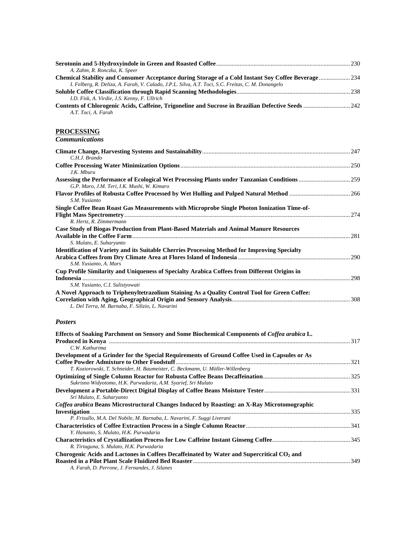| A. Zahm, R. Ronczka, K. Speer                                                                       |  |
|-----------------------------------------------------------------------------------------------------|--|
| Chemical Stability and Consumer Acceptance during Storage of a Cold Instant Soy Coffee Beverage 234 |  |
| I. Felberg, R. Deliza, A. Farah, V. Calado, J.P.L. Silva, A.T. Toci, S.C. Freitas, C. M. Donangelo  |  |
|                                                                                                     |  |
| I.D. Fisk, A. Virdie, J.S. Kenny, F. Ullrich                                                        |  |
|                                                                                                     |  |
| A.T. Toci, A. Farah                                                                                 |  |

## **PROCESSING**

| <b>Communications</b> |  |
|-----------------------|--|
|                       |  |

| C.H.J. Brando                                                                                        |  |
|------------------------------------------------------------------------------------------------------|--|
|                                                                                                      |  |
| J.K. Mburu                                                                                           |  |
|                                                                                                      |  |
| G.P. Maro, J.M. Teri, I.K. Mushi, W. Kimaro                                                          |  |
| S.M. Yusianto                                                                                        |  |
| Single Coffee Bean Roast Gas Measurements with Microprobe Single Photon Ionization Time-of-          |  |
|                                                                                                      |  |
| R. Hertz, R. Zimmermann                                                                              |  |
| Case Study of Biogas Production from Plant-Based Materials and Animal Manure Resources               |  |
|                                                                                                      |  |
| S. Mulato, E. Suharyanto                                                                             |  |
| <b>Identification of Variety and its Suitable Cherries Processing Method for Improving Specialty</b> |  |
|                                                                                                      |  |
| S.M. Yusianto, A. Mars                                                                               |  |
| Cup Profile Similarity and Uniqueness of Specialty Arabica Coffees from Different Origins in         |  |
|                                                                                                      |  |
| S.M. Yusianto, C.I. Sulistyowati                                                                     |  |
| A Novel Approach to Triphenyltetrazolium Staining As a Quality Control Tool for Green Coffee:        |  |
|                                                                                                      |  |
| L. Del Terra, M. Barnaba, F. Silizio, L. Navarini                                                    |  |
|                                                                                                      |  |

#### *Posters*

| Effects of Soaking Parchment on Sensory and Some Biochemical Components of Coffea arabica L.          |  |
|-------------------------------------------------------------------------------------------------------|--|
|                                                                                                       |  |
| C.W. Kathurima                                                                                        |  |
| Development of a Grinder for the Special Requirements of Ground Coffee Used in Capsules or As         |  |
|                                                                                                       |  |
| T. Koziorowski, T. Schneider, H. Baumeister, C. Beckmann, U. Möller-Willenberg                        |  |
|                                                                                                       |  |
| Sukrisno Widyotomo, H.K. Purwadaria, A.M. Syarief, Sri Mulato                                         |  |
|                                                                                                       |  |
| Sri Mulato, E. Suharyanto                                                                             |  |
| Coffea arabica Beans Microstructural Changes Induced by Roasting: an X-Ray Microtomographic           |  |
|                                                                                                       |  |
| P. Frisullo, M.A. Del Nobile, M. Barnaba, L. Navarini, F. Suggi Liverani                              |  |
|                                                                                                       |  |
| Y. Hananto, S. Mulato, H.K. Purwadaria                                                                |  |
|                                                                                                       |  |
| R. Tirtaguna, S. Mulato, H.K. Purwadaria                                                              |  |
| Chorogenic Acids and Lactones in Coffees Decaffeinated by Water and Supercritical CO <sub>2</sub> and |  |
|                                                                                                       |  |
| A. Farah, D. Perrone, J. Fernandes, J. Silanes                                                        |  |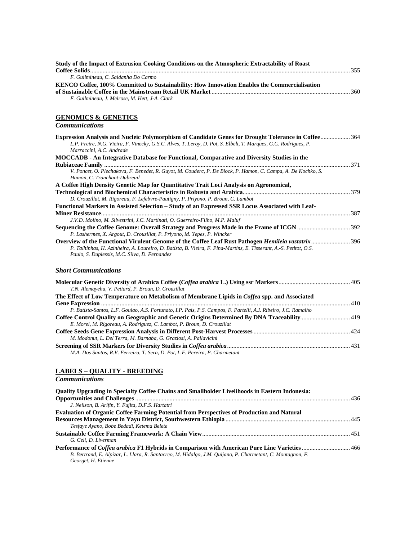| Study of the Impact of Extrusion Cooking Conditions on the Atmospheric Extractability of Roast                                                                                                                                                                             |  |
|----------------------------------------------------------------------------------------------------------------------------------------------------------------------------------------------------------------------------------------------------------------------------|--|
| F. Guilmineau, C. Saldanha Do Carmo                                                                                                                                                                                                                                        |  |
| KENCO Coffee, 100% Committed to Sustainability: How Innovation Enables the Commercialisation<br>F. Guilmineau, J. Melrose, M. Hett, J-A. Clark                                                                                                                             |  |
| <b>GENOMICS &amp; GENETICS</b>                                                                                                                                                                                                                                             |  |
| <b>Communications</b>                                                                                                                                                                                                                                                      |  |
| Expression Analysis and Nucleic Polymorphism of Candidate Genes for Drought Tolerance in Coffee  364<br>L.P. Freire, N.G. Vieira, F. Vinecky, G.S.C. Alves, T. Leroy, D. Pot, S. Elbelt, T. Marques, G.C. Rodrigues, P.<br>Marraccini, A.C. Andrade                        |  |
| MOCCADB - An Integrative Database for Functional, Comparative and Diversity Studies in the                                                                                                                                                                                 |  |
| V. Poncet, O. Plechakova, F. Benedet, R. Guyot, M. Couderc, P. De Block, P. Hamon, C. Campa, A. De Kochko, S.<br>Hamon, C. Tranchant-Dubreuil                                                                                                                              |  |
| A Coffee High Density Genetic Map for Quantitative Trait Loci Analysis on Agronomical,                                                                                                                                                                                     |  |
|                                                                                                                                                                                                                                                                            |  |
| D. Crouzillat, M. Rigoreau, F. Lefebvre-Pautigny, P. Priyono, P. Broun, C. Lambot<br>Functional Markers in Assisted Selection – Study of an Expressed SSR Locus Associated with Leaf-                                                                                      |  |
|                                                                                                                                                                                                                                                                            |  |
| J.V.D. Molino, M. Silvestrini, J.C. Martinati, O. Guerreiro-Filho, M.P. Maluf                                                                                                                                                                                              |  |
| P. Lashermes, X. Argout, D. Crouzillat, P. Priyono, M. Yepes, P. Wincker                                                                                                                                                                                                   |  |
| Overview of the Functional Virulent Genome of the Coffee Leaf Rust Pathogen Hemileia vastatrix  396<br>P. Talhinhas, H. Azinheira, A. Loureiro, D. Batista, B. Vieira, F. Pina-Martins, E. Tisserant, A.-S. Petitot, O.S.<br>Paulo, S. Duplessis, M.C. Silva, D. Fernandez |  |
| <b>Short Communications</b>                                                                                                                                                                                                                                                |  |
| T.N. Alemayehu, V. Petiard, P. Broun, D. Crouzillat                                                                                                                                                                                                                        |  |
| The Effect of Low Temperature on Metabolism of Membrane Lipids in Coffea spp. and Associated                                                                                                                                                                               |  |
| P. Batista-Santos, L.F. Goulao, A.S. Fortunato, I.P. Pais, P.S. Campos, F. Partelli, A.I. Ribeiro, J.C. Ramalho                                                                                                                                                            |  |
| Coffee Control Quality on Geographic and Genetic Origins Determined By DNA Traceability 419<br>E. Morel, M. Rigoreau, A. Rodriguez, C. Lambot, P. Broun, D. Crouzillat                                                                                                     |  |
| M. Modonut, L. Del Terra, M. Barnaba, G. Graziosi, A. Pallavicini                                                                                                                                                                                                          |  |
| M.A. Dos Santos, R.V. Ferreira, T. Sera, D. Pot, L.F. Pereira, P. Charmetant                                                                                                                                                                                               |  |
| <b>LABELS - QUALITY - BREEDING</b>                                                                                                                                                                                                                                         |  |
| <b>Communications</b>                                                                                                                                                                                                                                                      |  |
| Quality Upgrading in Specialty Coffee Chains and Smallholder Livelihoods in Eastern Indonesia:                                                                                                                                                                             |  |
| J. Neilson, B. Arifin, Y. Fujita, D.F.S. Hartatri                                                                                                                                                                                                                          |  |
| <b>Evaluation of Organic Coffee Farming Potential from Perspectives of Production and Natural</b>                                                                                                                                                                          |  |

**Sustainable Coffee Farming Framework: A Chain View**............................................................................................... 451 *G. Celi, D. Liverman*  **Performance of** *Coffea arabica* **F1 Hybrids in Comparison with American Pure Line Varieties**............................... 466 *B. Bertrand, E. Alpizar, L. Llara, R. Santacreo, M. Hidalgo, J.M. Quijano, P. Charmetant, C. Montagnon, F. Georget, H. Etienne* 

*Tesfaye Ayano, Bobe Bedadi, Ketema Belete* 

**Resources Management in Yayu District, Southwestern Ethiopia** ................................................................................ 445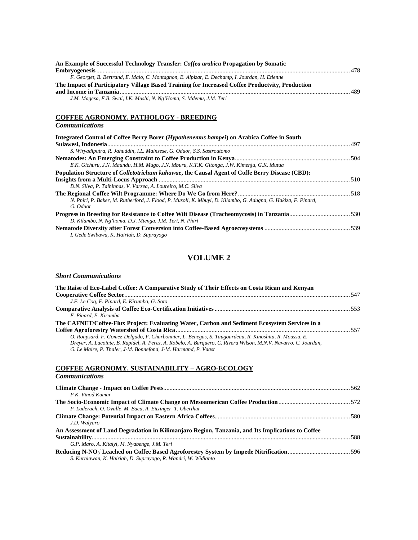| An Example of Successful Technology Transfer: Coffea arabica Propagation by Somatic             |  |
|-------------------------------------------------------------------------------------------------|--|
|                                                                                                 |  |
| F. Georget, B. Bertrand, E. Malo, C. Montagnon, E. Alpizar, E. Dechamp, I. Jourdan, H. Etienne  |  |
| The Impact of Participatory Village Based Training for Increased Coffee Productvity, Production |  |
|                                                                                                 |  |
| J.M. Magesa, F.B. Swai, I.K. Mushi, N. Ng'Homa, S. Mdemu, J.M. Teri                             |  |

## **COFFEE AGRONOMY. PATHOLOGY - BREEDING**

| <b>Communications</b> |  |
|-----------------------|--|
|                       |  |

| Integrated Control of Coffee Berry Borer (Hypothenemus hampei) on Arabica Coffee in South                                  |  |
|----------------------------------------------------------------------------------------------------------------------------|--|
|                                                                                                                            |  |
| S. Wiryadiputra, R. Jahuddin, I.L. Mainsese, G. Oduor, S.S. Sastroutomo                                                    |  |
|                                                                                                                            |  |
| E.K. Gichuru, J.N. Maundu, H.M. Mugo, J.N. Mburu, K.T.K. Gitonga, J.W. Kimenju, G.K. Mutua                                 |  |
| Population Structure of <i>Colletotrichum kahawae</i> , the Causal Agent of Coffe Berry Disease (CBD):                     |  |
|                                                                                                                            |  |
| D.N. Silva, P. Talhinhas, V. Varzea, A. Loureiro, M.C. Silva                                                               |  |
|                                                                                                                            |  |
| N. Phiri, P. Baker, M. Rutherford, J. Flood, P. Musoli, K. Mbuyi, D. Kilambo, G. Adugna, G. Hakiza, F. Pinard,<br>G. Oduor |  |
|                                                                                                                            |  |
| D. Kilambo, N. Ng'homa, D.J. Mtenga, J.M. Teri, N. Phiri                                                                   |  |
|                                                                                                                            |  |
| I. Gede Swibawa, K. Hairiah, D. Suprayogo                                                                                  |  |

## **VOLUME 2**

#### *Short Communications*

| The Raise of Eco-Label Coffee: A Comparative Study of Their Effects on Costa Rican and Kenyan                    |  |
|------------------------------------------------------------------------------------------------------------------|--|
|                                                                                                                  |  |
| J.F. Le Coq, F. Pinard, E. Kirumba, G. Soto                                                                      |  |
|                                                                                                                  |  |
| F. Pinard, E. Kirumba                                                                                            |  |
| The CAFNET/Coffee-Flux Project: Evaluating Water, Carbon and Sediment Ecosystem Services in a                    |  |
|                                                                                                                  |  |
| O. Roupsard, F. Gomez-Delgado, F. Charbonnier, L. Benegas, S. Taugourdeau, R. Kinoshita, R. Moussa, E.           |  |
| Drever, A. Lacointe, B. Rapidel, A. Perez, A. Robelo, A. Barquero, C. Rivera Wilson, M.N.V. Navarro, C. Jourdan, |  |
| G. Le Maire, P. Thaler, J-M. Bonnefond, J-M. Harmand, P. Vaast                                                   |  |

#### **COFFEE AGRONOMY. SUSTAINABILITY – AGRO-ECOLOGY**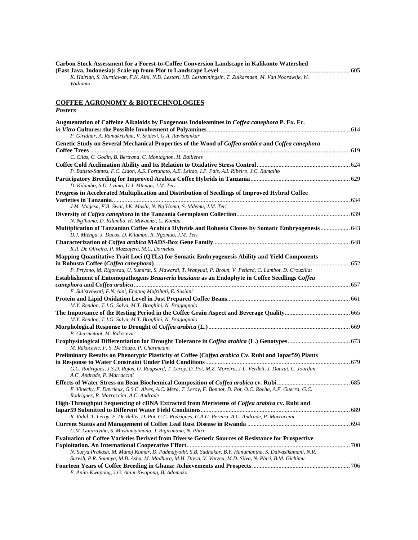| Carbon Stock Assessment for a Forest-to-Coffee Conversion Landscape in Kalikonto Watershed                  |  |
|-------------------------------------------------------------------------------------------------------------|--|
|                                                                                                             |  |
| K. Hairiah, S. Kurniawan, F.K. Aini, N.D. Lestari, I.D. Lestariningsih, T. Zulkarnaen, M. Van Noordwijk, W. |  |
| Widianto                                                                                                    |  |

#### **COFFEE AGRONOMY & BIOTECHNOLOGIES**

| <b>Posters</b>                                                                                                                                         |  |
|--------------------------------------------------------------------------------------------------------------------------------------------------------|--|
| Augmentation of Caffeine Alkaloids by Exogenous Indoleamines in <i>Coffea canephora</i> P. Ex. Fr.                                                     |  |
|                                                                                                                                                        |  |
| P. Giridhar, A. Ramakrishna, V. Sridevi, G.A. Ravishankar                                                                                              |  |
| Genetic Study on Several Mechanical Properties of the Wood of Coffea arabica and Coffea canephora                                                      |  |
|                                                                                                                                                        |  |
| C. Cilas, C. Godin, B. Bertrand, C. Montagnon, H. Bailleres                                                                                            |  |
|                                                                                                                                                        |  |
| P. Batista-Santos, F.C. Lidon, A.S. Fortunato, A.E. Leitao, I.P. Pais, A.I. Ribeiro, J.C. Ramalho                                                      |  |
| D. Kilambo, S.D. Lyimo, D.J. Mtenga, J.M. Teri                                                                                                         |  |
| Progress in Accelerated Multiplication and Distribution of Seedlings of Improved Hybrid Coffee                                                         |  |
|                                                                                                                                                        |  |
| J.M. Magesa, F.B. Swai, I.K. Mushi, N. Ng'Homa, S. Mdemu, J.M. Teri                                                                                    |  |
| N. Ng'homa, D. Kilambo, H. Mtwaenzi, C. Komba                                                                                                          |  |
| Multiplication of Tanzanian Coffee Arabica Hybrids and Robusta Clones by Somatic Embryogenesis 643                                                     |  |
| D.J. Mtenga, J. Ducos, D. Kilambo, R. Ngomuo, J.M. Teri                                                                                                |  |
|                                                                                                                                                        |  |
| R.R. De Oliveira, P. Mazzafera, M.C. Dornelas                                                                                                          |  |
| Mapping Quantitative Trait Loci (QTLs) for Somatic Embryogenesis Ability and Yield Components                                                          |  |
|                                                                                                                                                        |  |
| P. Priyono, M. Rigoreau, U. Sumirat, S. Mawardi, T. Wahyudi, P. Broun, V. Petiard, C. Lambot, D. Crouzillat                                            |  |
| Establishment of Entomopathogens Beauveria bassiana as an Endophyte in Coffee Seedlings Coffea                                                         |  |
|                                                                                                                                                        |  |
| E. Sulistyowati, F.N. Aini, Endang Mufrihati, E. Susiani                                                                                               |  |
|                                                                                                                                                        |  |
| M.Y. Rendon, T.J.G. Salva, M.T. Braghini, N. Bragagnolo                                                                                                |  |
|                                                                                                                                                        |  |
| M.Y. Rendon, T.J.G. Salva, M.T. Braghini, N. Bragagnolo                                                                                                |  |
|                                                                                                                                                        |  |
| P. Charmetant, M. Rakocevic                                                                                                                            |  |
|                                                                                                                                                        |  |
| M. Rakocevic, F. S. De Souza, P. Charmetant                                                                                                            |  |
| Preliminary Results on Phenotypic Plasticity of Coffee (Coffea arabica Cv. Rubi and Iapar59) Plants                                                    |  |
|                                                                                                                                                        |  |
| G.C. Rodrigues, J.S.D. Rojas, O. Roupsard, T. Leroy, D. Pot, M.Z. Moreira, J-L. Verdeil, J. Dauzat, C. Jourdan,<br>A.C. Andrade, P. Marraccini         |  |
|                                                                                                                                                        |  |
| F. Vinecky, F. Davrieux, G.S.C. Alves, A.C. Mera, T. Leroy, F. Bonnot, D. Pot, O.C. Rocha, A.F. Guerra, G.C.<br>Rodrigues, P. Marraccini, A.C. Andrade |  |
| High-Throughput Sequencing of cDNA Extracted from Meristems of Coffea arabica cv. Rubi and                                                             |  |
|                                                                                                                                                        |  |
| R. Vidal, T. Leroy, F. De Bellis, D. Pot, G.C. Rodrigues, G.A.G. Pereira, A.C. Andrade, P. Marraccini                                                  |  |
|                                                                                                                                                        |  |
| C.M. Gatarayiha, S. Mushimiyimana, J. Bigirimana, N. Phiri                                                                                             |  |
| <b>Evaluation of Coffee Varieties Derived from Diverse Genetic Sources of Resistance for Prospective</b>                                               |  |
| N. Surya Prakash, M. Manoj Kumar, D. Padmajyothi, S.B. Sudhakar, B.Y. Hanumantha, S. Daivasikamani, N.R.                                               |  |
| Suresh, P.R. Soumya, M.B. Asha, M. Madhura, M.H. Divya, V. Varzea, M.D. Silva, N. Phiri, B.M. Gichimu                                                  |  |
|                                                                                                                                                        |  |

*E. Anim-Kwapong, J.G. Anim-Kwapong, B. Adomako*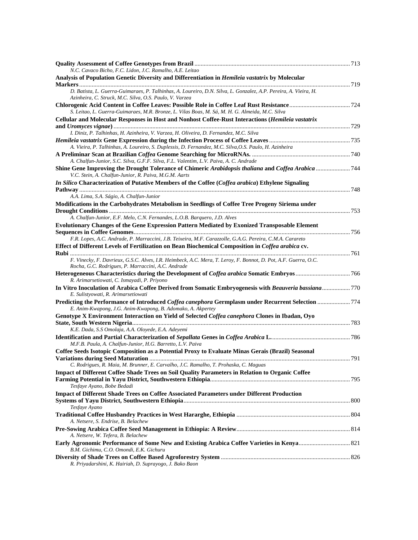| N.C. Cavaco Bicho, F.C. Lidon, J.C. Ramalho, A.E. Leitao                                                                                                                    |  |
|-----------------------------------------------------------------------------------------------------------------------------------------------------------------------------|--|
| Analysis of Population Genetic Diversity and Differentiation in <i>Hemileia vastatrix</i> by Molecular                                                                      |  |
| D. Batista, L. Guerra-Guimaraes, P. Talhinhas, A. Loureiro, D.N. Silva, L. Gonzalez, A.P. Pereira, A. Vieira, H.<br>Azinheira, C. Struck, M.C. Silva, O.S. Paulo, V. Varzea |  |
| S. Leitao, L. Guerra-Guimaraes, M.R. Bronze, L. Vilas Boas, M. Sá, M. H. G. Almeida, M.C. Silva                                                                             |  |
| Cellular and Molecular Responses in Host and Nonhost Coffee-Rust Interactions (Hemileia vastatrix                                                                           |  |
|                                                                                                                                                                             |  |
| I. Diniz, P. Talhinhas, H. Azinheira, V. Varzea, H. Oliveira, D. Fernandez, M.C. Silva                                                                                      |  |
| A. Vieira, P. Talhinhas, A. Loureiro, S. Duplessis, D. Fernandez, M.C. Silva, O.S. Paulo, H. Azinheira                                                                      |  |
|                                                                                                                                                                             |  |
| A. Chalfun-Junior, S.C. Silva, G.F.F. Silva, F.L. Valentim, L.V. Paiva, A. C. Andrade                                                                                       |  |
| Shine Gene Improving the Drought Tolerance of Chimeric Arabidopsis thaliana and Coffea Arabica  744<br>V.C. Stein, A. Chalfun-Junior, R. Paiva, M.G.M. Aarts                |  |
| In Silico Characterization of Putative Members of the Coffee (Coffea arabica) Ethylene Signaling                                                                            |  |
| A.A. Lima, S.A. Ságio, A. Chalfun-Junior                                                                                                                                    |  |
| Modifications in the Carbohydrates Metabolism in Seedlings of Coffee Tree Progeny Siriema under                                                                             |  |
| A. Chalfun-Junior, E.F. Melo, C.N. Fernandes, L.O.B. Barquero, J.D. Alves                                                                                                   |  |
| Evolutionary Changes of the Gene Expression Pattern Mediated by Exonized Transposable Element                                                                               |  |
|                                                                                                                                                                             |  |
| F.R. Lopes, A.C. Andrade, P. Marraccini, J.B. Teixeira, M.F. Carazzolle, G.A.G. Pereira, C.M.A. Carareto                                                                    |  |
| Effect of Different Levels of Fertilization on Bean Biochemical Composition in Coffea arabica cv.                                                                           |  |
| F. Vinecky, F. Davrieux, G.S.C. Alves, I.R. Heimbeck, A.C. Mera, T. Leroy, F. Bonnot, D. Pot, A.F. Guerra, O.C.<br>Rocha, G.C. Rodrigues, P. Marraccini, A.C. Andrade       |  |
|                                                                                                                                                                             |  |
| R. Arimarsetiowati, C. Ismayadi, P. Priyono                                                                                                                                 |  |
| In Vitro Inoculation of Arabica Coffee Derived from Somatic Embryogenesis with Beauveria bassiana 770<br>E. Sulistyowati, R. Arimarsetiowati                                |  |
| Predicting the Performance of Introduced Coffea canephora Germplasm under Recurrent Selection 774<br>E. Anim-Kwapong, J.G. Anim-Kwapong, B. Adomako, A. Akpertey            |  |
| Genotype X Environment Interaction on Yield of Selected Coffea canephora Clones in Ibadan, Oyo                                                                              |  |
| K.E. Dada, S.S Omolaja, A.A. Oloyede, E.A. Adeyemi                                                                                                                          |  |
| M.F.B. Paula, A. Chalfun-Junior, H.G. Barretto, L.V. Paiva                                                                                                                  |  |
| Coffee Seeds Isotopic Composition as a Potential Proxy to Evaluate Minas Gerais (Brazil) Seasonal                                                                           |  |
|                                                                                                                                                                             |  |
| C. Rodrigues, R. Maia, M. Brunner, E. Carvalho, J.C. Ramalho, T. Prohaska, C. Maguas                                                                                        |  |
| <b>Impact of Different Coffee Shade Trees on Soil Quality Parameters in Relation to Organic Coffee</b>                                                                      |  |
| Tesfaye Ayano, Bobe Bedadi                                                                                                                                                  |  |
| Impact of Different Shade Trees on Coffee Associated Parameters under Different Production                                                                                  |  |
|                                                                                                                                                                             |  |
| Tesfaye Ayano                                                                                                                                                               |  |
| A. Netsere, S. Endrise, B. Belachew                                                                                                                                         |  |
|                                                                                                                                                                             |  |
| A. Netsere, W. Tefera, B. Belachew                                                                                                                                          |  |
| B.M. Gichimu, C.O. Omondi, E.K. Gichuru                                                                                                                                     |  |
| R. Priyadarshini, K. Hairiah, D. Suprayogo, J. Bako Baon                                                                                                                    |  |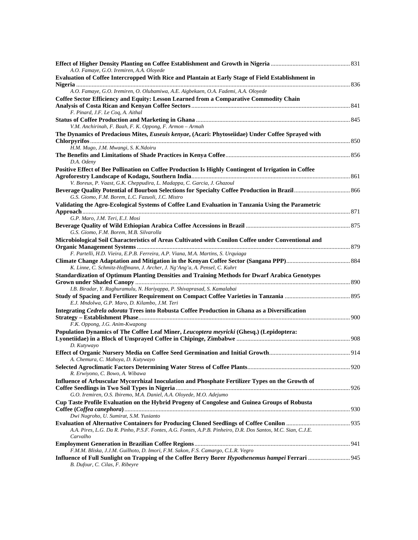| A.O. Famaye, G.O. Iremiren, A.A. Oloyede                                                                                                 |  |
|------------------------------------------------------------------------------------------------------------------------------------------|--|
| Evaluation of Coffee Intercropped With Rice and Plantain at Early Stage of Field Establishment in                                        |  |
| A.O. Famaye, G.O. Iremiren, O. Olubamiwa, A.E. Aigbekaen, O.A. Fademi, A.A. Oloyede                                                      |  |
| Coffee Sector Efficiency and Equity: Lesson Learned from a Comparative Commodity Chain                                                   |  |
| F. Pinard, J.F. Le Coq, A. Aithal                                                                                                        |  |
|                                                                                                                                          |  |
| V.M. Anchirinah, F. Baah, F. K. Oppong, F. Armon - Armah                                                                                 |  |
| The Dynamics of Predacious Mites, Euseuis kenyae, (Acari: Phytoseiidae) Under Coffee Sprayed with<br>H.M. Mugo, J.M. Mwangi, S. K.Ndoiru |  |
| D.A. Odeny                                                                                                                               |  |
| Positive Effect of Bee Pollination on Coffee Production Is Highly Contingent of Irrigation in Coffee                                     |  |
|                                                                                                                                          |  |
| V. Boreux, P. Vaast, G.K. Cheppudira, L. Madappa, C. Garcia, J. Ghazoul                                                                  |  |
| G.S. Giomo, F.M. Borem, L.C. Fazuoli, J.C. Mistro                                                                                        |  |
| Validating the Agro-Ecological Systems of Coffee Land Evaluation in Tanzania Using the Parametric                                        |  |
|                                                                                                                                          |  |
| G.P. Maro, J.M. Teri, E.J. Mosi                                                                                                          |  |
|                                                                                                                                          |  |
| G.S. Giomo, F.M. Borem, M.B. Silvarolla                                                                                                  |  |
| Microbiological Soil Characteristics of Areas Cultivated with Conilon Coffee under Conventional and                                      |  |
|                                                                                                                                          |  |
| F. Partelli, H.D. Vieira, E.P.B. Ferreira, A.P. Viana, M.A. Martins, S. Urquiaga                                                         |  |
| K. Linne, C. Schmitz-Hoffmann, J. Archer, J. Ng'Ang'a, A. Pensel, C. Kuhrt                                                               |  |
| <b>Standardization of Optimum Planting Densities and Training Methods for Dwarf Arabica Genotypes</b>                                    |  |
| I.B. Biradar, Y. Raghuramulu, N. Hariyappa, P. Shivaprasad, S. Kamalabai                                                                 |  |
|                                                                                                                                          |  |
| E.J. Mndolwa, G.P. Maro, D. Kilambo, J.M. Teri                                                                                           |  |
| Integrating Cedrela odorata Trees into Robusta Coffee Production in Ghana as a Diversification                                           |  |
|                                                                                                                                          |  |
| F.K. Oppong, J.G. Anim-Kwapong                                                                                                           |  |
| Population Dynamics of The Coffee Leaf Miner, Leucoptera meyricki (Ghesq.) (Lepidoptera:                                                 |  |
| D. Kutywayo                                                                                                                              |  |
|                                                                                                                                          |  |
| A. Chemura, C. Mahoya, D. Kutywayo                                                                                                       |  |
|                                                                                                                                          |  |
| R. Erwiyono, C. Bowo, A. Wibawa                                                                                                          |  |
| Influence of Arbuscular Mycorrhizal Inoculation and Phosphate Fertilizer Types on the Growth of                                          |  |
|                                                                                                                                          |  |
| G.O. Iremiren, O.S. Ibiremo, M.A. Daniel, A.A. Oloyede, M.O. Adejumo                                                                     |  |
| Cup Taste Profile Evaluation on the Hybrid Progeny of Congolese and Guinea Groups of Robusta                                             |  |
| Dwi Nugroho, U. Sumirat, S.M. Yusianto                                                                                                   |  |
|                                                                                                                                          |  |
| A.A. Pires, L.G. Da R. Pinho, P.S.F. Fontes, A.G. Fontes, A.P.B. Pinheiro, D.R. Dos Santos, M.C. Sian, C.J.E.<br>Carvalho                |  |
|                                                                                                                                          |  |
| F.M.M. Bliska, J.J.M. Guilhoto, D. Imori, F.M. Sakon, F.S. Camargo, C.L.R. Vegro                                                         |  |
| Influence of Full Sunlight on Trapping of the Coffee Berry Borer Hypothenemus hampei Ferrari  945<br>B. Dufour, C. Cilas, F. Ribeyre     |  |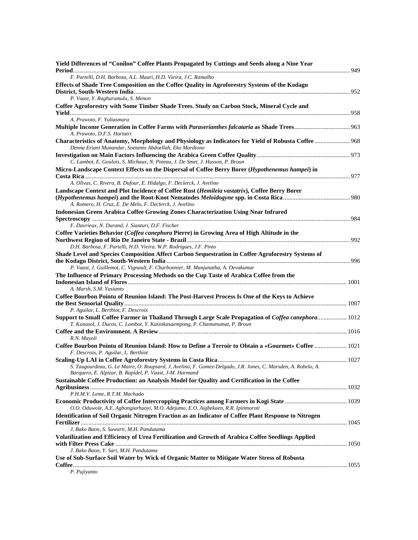| Yield Differences of "Conilon" Coffee Plants Propagated by Cuttings and Seeds along a Nine Year                                                                                      |  |
|--------------------------------------------------------------------------------------------------------------------------------------------------------------------------------------|--|
| F. Partelli, D.H. Barbosa, A.L. Mauri, H.D. Vieira, J.C. Ramalho                                                                                                                     |  |
| Effects of Shade Tree Composition on the Coffee Quality in Agroforestry Systems of the Kodagu                                                                                        |  |
| P. Vaast, Y. Raghuramulu, S. Menon                                                                                                                                                   |  |
| Coffee Agroforestry with Some Timber Shade Trees. Study on Carbon Stock, Mineral Cycle and                                                                                           |  |
|                                                                                                                                                                                      |  |
| A. Prawoto, F. Yuliasmara                                                                                                                                                            |  |
| A. Prawoto, D.F.S. Hartatri                                                                                                                                                          |  |
| Characteristics of Anatomy, Morphology and Physiology as Indicators for Yield of Robusta Coffee 968<br>Denna Eriani Munandar, Soetanto Abdoellah, Eko Mardiono                       |  |
|                                                                                                                                                                                      |  |
| C. Lambot, E. Goulois, S. Michaux, N. Pineau, J. De Smet, J. Husson, P. Broun                                                                                                        |  |
| Micro-Landscape Context Effects on the Dispersal of Coffee Berry Borer (Hypothenemus hampei) in                                                                                      |  |
| A. Olivas, C. Rivera, B. Dufour, E. Hidalgo, F. Declerck, J. Avelino                                                                                                                 |  |
| Landscape Context and Plot Incidence of Coffee Rust (Hemileia vastatrix), Coffee Berry Borer                                                                                         |  |
| A. Romero, H. Cruz, E. De Melo, F. Declerck, J. Avelino                                                                                                                              |  |
| <b>Indonesian Green Arabica Coffee Growing Zones Characterization Using Near Infrared</b>                                                                                            |  |
|                                                                                                                                                                                      |  |
| F. Davrieux, N. Durand, J. Sianturi, D.F. Fischer                                                                                                                                    |  |
| Coffee Varieties Behavior (Coffea canephora Pierre) in Growing Area of High Altitude in the                                                                                          |  |
|                                                                                                                                                                                      |  |
| D.H. Barbosa, F. Partelli, H.D. Vieira, W.P. Rodrigues, J.F. Pinto                                                                                                                   |  |
| Shade Level and Species Composition Affect Carbon Sequestration in Coffee Agroforestry Systems of                                                                                    |  |
| P. Vaast, J. Guillemot, C. Vignault, F. Charbonnier, M. Manjunatha, A. Devakumar                                                                                                     |  |
| The Influence of Primary Processing Methods on the Cup Taste of Arabica Coffee from the                                                                                              |  |
| A. Marsh, S.M. Yusianto                                                                                                                                                              |  |
| Coffee Bourbon Pointu of Reunion Island: The Post-Harvest Process Is One of the Keys to Achieve                                                                                      |  |
|                                                                                                                                                                                      |  |
| P. Aguilar, L. Berthiot, F. Descroix                                                                                                                                                 |  |
| Support to Small Coffee Farmer in Thailand Through Large Scale Propagation of Coffea canephora 1012<br>T. Kunasol, J. Ducos, C. Lambot, Y. Kasinkasaempong, P. Chantanumat, P. Broun |  |
|                                                                                                                                                                                      |  |
| R.N. Mayoli                                                                                                                                                                          |  |
| Coffee Bourbon Pointu of Reunion Island: How to Define a Terroir to Obtain a «Gourmet» Coffee  1021                                                                                  |  |
| F. Descroix, P. Aguilar, L. Berthiot                                                                                                                                                 |  |
| S. Taugourdeau, G. Le Maire, O. Roupsard, J. Avelino, F. Gomez-Delgado, J.R. Jones, C. Marsden, A. Robelo, A.<br>Barquero, E. Alpizar, B. Rapidel, P. Vaast, J-M. Harmand            |  |
| Sustainable Coffee Production: an Analysis Model for Quality and Certification in the Coffee                                                                                         |  |
| P.H.M.V. Leme, R.T.M. Machado                                                                                                                                                        |  |
|                                                                                                                                                                                      |  |
| O.O. Oduwole, A.E. Agbongiarhuoyi, M.O. Adejumo, E.O. Aigbekaen, R.R. Ipinmoroti                                                                                                     |  |
| Identification of Soil Organic Nitrogen Fraction as an Indicator of Coffee Plant Response to Nitrogen                                                                                |  |
|                                                                                                                                                                                      |  |
| J. Bako Baon, S. Suwarti, M.H. Pandutama                                                                                                                                             |  |
| Volatilization and Efficiency of Urea Fertilization and Growth of Arabica Coffee Seedlings Applied                                                                                   |  |
| J. Bako Baon, Y. Sari, M.H. Pandutama                                                                                                                                                |  |
| Use of Sub-Surface Soil Water by Wick of Organic Matter to Mitigate Water Stress of Robusta                                                                                          |  |
|                                                                                                                                                                                      |  |
| P. Pujiyanto                                                                                                                                                                         |  |